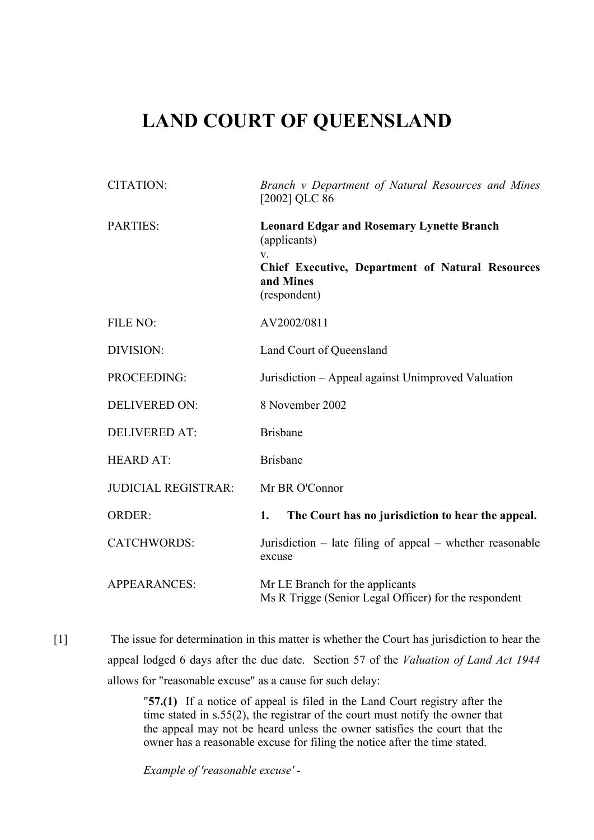## **LAND COURT OF QUEENSLAND**

| <b>CITATION:</b>           | Branch v Department of Natural Resources and Mines<br>[2002] QLC 86                                                                                             |
|----------------------------|-----------------------------------------------------------------------------------------------------------------------------------------------------------------|
| PARTIES:                   | <b>Leonard Edgar and Rosemary Lynette Branch</b><br>(applicants)<br>$V_{\tau}$<br>Chief Executive, Department of Natural Resources<br>and Mines<br>(respondent) |
| FILE NO:                   | AV2002/0811                                                                                                                                                     |
| DIVISION:                  | Land Court of Queensland                                                                                                                                        |
| PROCEEDING:                | Jurisdiction – Appeal against Unimproved Valuation                                                                                                              |
| <b>DELIVERED ON:</b>       | 8 November 2002                                                                                                                                                 |
| <b>DELIVERED AT:</b>       | <b>Brisbane</b>                                                                                                                                                 |
| <b>HEARD AT:</b>           | <b>Brisbane</b>                                                                                                                                                 |
| <b>JUDICIAL REGISTRAR:</b> | Mr BR O'Connor                                                                                                                                                  |
| <b>ORDER:</b>              | The Court has no jurisdiction to hear the appeal.<br>1.                                                                                                         |
| <b>CATCHWORDS:</b>         | Jurisdiction - late filing of appeal - whether reasonable<br>excuse                                                                                             |
| <b>APPEARANCES:</b>        | Mr LE Branch for the applicants<br>Ms R Trigge (Senior Legal Officer) for the respondent                                                                        |

[1] The issue for determination in this matter is whether the Court has jurisdiction to hear the appeal lodged 6 days after the due date. Section 57 of the *Valuation of Land Act 1944* allows for "reasonable excuse" as a cause for such delay:

> "**57.(1)** If a notice of appeal is filed in the Land Court registry after the time stated in s.55(2), the registrar of the court must notify the owner that the appeal may not be heard unless the owner satisfies the court that the owner has a reasonable excuse for filing the notice after the time stated.

*Example of 'reasonable excuse' -*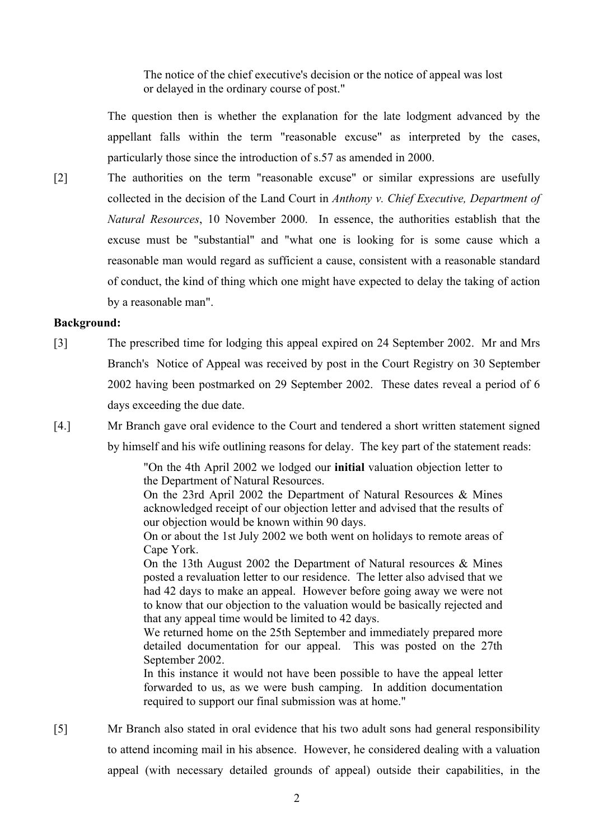The notice of the chief executive's decision or the notice of appeal was lost or delayed in the ordinary course of post."

The question then is whether the explanation for the late lodgment advanced by the appellant falls within the term "reasonable excuse" as interpreted by the cases, particularly those since the introduction of s.57 as amended in 2000.

[2] The authorities on the term "reasonable excuse" or similar expressions are usefully collected in the decision of the Land Court in *Anthony v. Chief Executive, Department of Natural Resources*, 10 November 2000. In essence, the authorities establish that the excuse must be "substantial" and "what one is looking for is some cause which a reasonable man would regard as sufficient a cause, consistent with a reasonable standard of conduct, the kind of thing which one might have expected to delay the taking of action by a reasonable man".

## **Background:**

- [3] The prescribed time for lodging this appeal expired on 24 September 2002. Mr and Mrs Branch's Notice of Appeal was received by post in the Court Registry on 30 September 2002 having been postmarked on 29 September 2002. These dates reveal a period of 6 days exceeding the due date.
- [4.] Mr Branch gave oral evidence to the Court and tendered a short written statement signed by himself and his wife outlining reasons for delay. The key part of the statement reads:

"On the 4th April 2002 we lodged our **initial** valuation objection letter to the Department of Natural Resources.

On the 23rd April 2002 the Department of Natural Resources & Mines acknowledged receipt of our objection letter and advised that the results of our objection would be known within 90 days.

On or about the 1st July 2002 we both went on holidays to remote areas of Cape York.

On the 13th August 2002 the Department of Natural resources & Mines posted a revaluation letter to our residence. The letter also advised that we had 42 days to make an appeal. However before going away we were not to know that our objection to the valuation would be basically rejected and that any appeal time would be limited to 42 days.

We returned home on the 25th September and immediately prepared more detailed documentation for our appeal. This was posted on the 27th September 2002.

In this instance it would not have been possible to have the appeal letter forwarded to us, as we were bush camping. In addition documentation required to support our final submission was at home."

[5] Mr Branch also stated in oral evidence that his two adult sons had general responsibility to attend incoming mail in his absence. However, he considered dealing with a valuation appeal (with necessary detailed grounds of appeal) outside their capabilities, in the